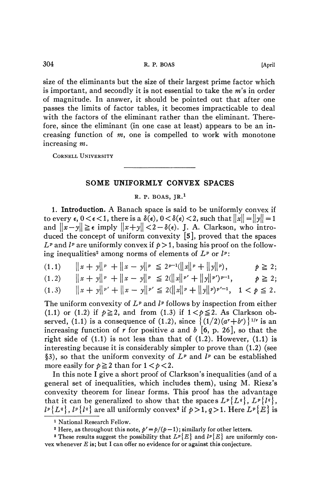size of the éliminants but the size of their largest prime factor which is important, and secondly it is not essential to take the  $m$ 's in order of magnitude. In answer, it should be pointed out that after one passes the limits of factor tables, it becomes impracticable to deal with the factors of the eliminant rather than the eliminant. Therefore, since the eliminant (in one case at least) appears to be an increasing function of  $m$ , one is compelled to work with monotone increasing *m.* 

CORNELL UNIVERSITY

## **SOME UNIFORMLY CONVEX SPACES**

## R. P. BOAS,  $IR.1$

**1. Introduction.** A Banach space is said to be uniformly convex if to every  $\epsilon$ ,  $0 < \epsilon < 1$ , there is a  $\delta(\epsilon)$ ,  $0 < \delta(\epsilon) < 2$ , such that  $\|x\| = \|y\| = 1$ and  $||x-y|| \ge \epsilon$  imply  $||x+y|| < 2-\delta(\epsilon)$ . J. A. Clarkson, who introduced the concept of uniform convexity [5], proved that the spaces  $L^p$  and  $l^p$  are uniformly convex if  $p > 1$ , basing his proof on the following inequalities<sup>2</sup> among norms of elements of  $L^p$  or  $l^p$ :

$$
(1.1) \qquad \|x + y\|^p + \|x - y\|^p \leq 2^{p-1}(\|x\|^p + \|y\|^p), \qquad p \geq 2;
$$

$$
(1.2) \qquad ||x+y||^p + ||x-y||^p \le 2(||x||^p' + ||y||^p')^{p-1}, \qquad p \ge 2;
$$

$$
(1.3) \qquad ||x+y||^{p'} + ||x-y||^{p'} \le 2(||x||^{p} + ||y||^{p})^{p'-1}, \quad 1 < p \le 2.
$$

The uniform convexity of  $L^p$  and  $l^p$  follows by inspection from either (1.1) or (1.2) if  $p \ge 2$ , and from (1.3) if  $1 < p \le 2$ . As Clarkson observed, (1.1) is a consequence of (1.2), since  $\{(1/2)(a^{r}+b^{r})\}^{1/r}$  is an increasing function of *r* for positive *a* and *b* [6, p. 26], so that the right side of  $(1.1)$  is not less than that of  $(1.2)$ . However,  $(1.1)$  is interesting because it is considerably simpler to prove than (1.2) (see §3), so that the uniform convexity of  $L^p$  and  $l^p$  can be established more easily for  $p \ge 2$  than for  $1 < p < 2$ .

In this note I give a short proof of Clarkson's inequalities (and of a general set of inequalities, which includes them), using M. Riesz's convexity theorem for linear forms. This proof has the advantage that it can be generalized to show that the spaces  $L^p{L^q}$ ,  $L^p{l^q}$ ,  $l^p\{L^q\}$ ,  $l^p\{l^q\}$  are all uniformly convex<sup>3</sup> if  $p>1, q>1$ . Here  $L^p\{E\}$  is

<sup>1</sup> National Research Fellow.

<sup>&</sup>lt;sup>2</sup> Here, as throughout this note,  $p' = p/(p-1)$ ; similarly for other letters.

<sup>&</sup>lt;sup>8</sup> These results suggest the possibility that  $L^p\{E\}$  and  $l^p\{E\}$  are uniformly convex whenever *E* is; but I can offer no evidence for or against this conjecture.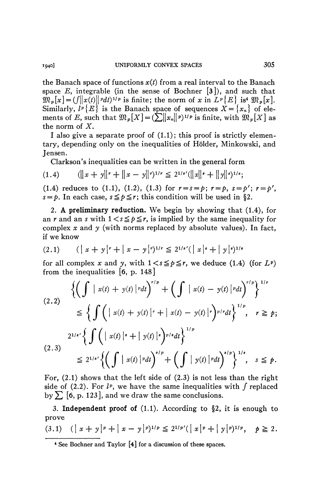the Banach space of functions *x{t)* from a real interval to the Banach space E, integrable (in the sense of Bochner  $\lceil 3 \rceil$ ), and such that  $\mathfrak{M}_p[x] = (f||x(t)||^p dt)^{1/p}$  is finite; the norm of *x* in  $L^p{E}$  is<sup>4</sup>  $\mathfrak{M}_p[x]$ . Similarly,  $l^p\{E\}$  is the Banach space of sequences  $X = \{x_n\}$  of elements of E, such that  $\mathfrak{M}_p[X] = (\sum ||x_n||^p)^{1/p}$  is finite, with  $\mathfrak{M}_p[X]$  as the norm of *X.* 

I also give a separate proof of  $(1.1)$ ; this proof is strictly elementary, depending only on the inequalities of Holder, Minkowski, and Jensen.

Clarkson's inequalities can be written in the general form

$$
(1.4) \qquad (||x + y||^{r} + ||x - y||^{r})^{1/r} \leq 2^{1/s'}(||x||^{s} + ||y||^{s})^{1/s};
$$

(1.4) reduces to (1.1), (1.2), (1.3) for  $r = s = p$ ;  $r = p$ ,  $s = p'$ ;  $r = p'$ ,  $s = p$ . In each case,  $s \leq p \leq r$ ; this condition will be used in §2.

2. **A preliminary reduction.** We begin by showing that (1.4), for an r and an s with  $1 \leq s \leq p \leq r$ , is implied by the same inequality for complex *x* and *y* (with norms replaced by absolute values). In fact, if we know

$$
(2.1) \qquad (|x + y|^{r} + |x - y|^{r})^{1/r} \le 2^{1/s'} (|x|^{s} + |y|^{s})^{1/s}
$$

for all complex x and y, with  $1 \lt s \leq p \leq r$ , we deduce (1.4) (for  $L^p$ ) from the inequalities [6, p. 148]

$$
\left\{\left(\int |x(t) + y(t)|^p dt\right)^{r/p} + \left(\int |x(t) - y(t)|^p dt\right)^{r/p}\right\}^{1/r}
$$
\n
$$
\leq \left\{\int \left(|x(t) + y(t)|^r + |x(t) - y(t)|^r\right)^{p/r} dt\right\}^{1/p}, \quad r \geq p;
$$
\n
$$
2^{1/s'} \left\{\int \left(|x(t)|^s + |y(t)|^s\right)^{p/s} dt\right\}^{1/p}
$$
\n
$$
\leq 2^{1/s'} \left\{\left(\int |x(t)|^p dt\right)^{s/p} + \left(\int |y(t)|^p dt\right)^{s/p}\right\}^{1/s}, \quad s \leq p.
$$

For, (2.1) shows that the left side of (2.3) is not less than the right side of (2.2). For  $l^p$ , we have the same inequalities with  $\int$  replaced by  $\Sigma$  [6, p. 123], and we draw the same conclusions.

3. **Independent proof of (1.1).** According to §2, it is enough to prove

$$
(3.1) \quad (|x + y|^p + |x - y|^p)^{1/p} \leq 2^{1/p'} (|x|^p + |y|^p)^{1/p}, \quad p \geq 2.
$$

<sup>4</sup> See Bochner and Taylor [4] for a discussion of these spaces.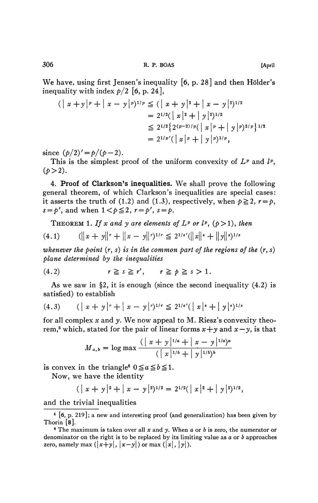We have, using first Jensen's inequality  $[6, p. 28]$  and then Hölder's inequality with index  $p/2$  [6, p. 24],

$$
(|x + y|^{p} + |x - y|^{p})^{1/p} \leq (|x + y|^{2} + |x - y|^{2})^{1/2}
$$
  
=  $2^{1/2} (|x|^{2} + |y|^{2})^{1/2}$   
 $\leq 2^{1/2} {2^{(p-2)/p} (|x|^{p} + |y|^{p})^{2/p}}^{1/2}$   
=  $2^{1/p'} (|x|^{p} + |y|^{p})^{1/p}$ ,

since  $(p/2)'=p/(p-2)$ .

This is the simplest proof of the uniform convexity of  $L^p$  and  $l^p$ ,  $(p>2)$ .

4. **Proof of Clarkson's inequalities.** We shall prove the following general theorem, of which Clarkson's inequalities are special cases: it asserts the truth of (1.2) and (1.3), respectively, when  $p \ge 2$ ,  $r = p$ ,  $s = p'$ , and when  $1 < p \leq 2$ ,  $r = p'$ ,  $s = p$ .

THEOREM 1. If x and y are elements of  $L^p$  or  $l^p$ ,  $(p>1)$ , then (4.1)  $(||x + y||^r + ||x - y||^r)^{1/r} \le 2^{1/s'} (||x||^s + ||y||^s)^{1/s}$ 

whenever the point 
$$
(r, s)
$$
 is in the common part of the regions of the  $(r, s)$  plane determined by the inequalities

(4.2) *r^s^r', r^p^s>l.* 

As we saw in  $\S 2$ , it is enough (since the second inequality  $(4.2)$  is satisfied) to establish

$$
(4.3) \qquad (|x + y|^{r} + |x - y|^{r})^{1/r} \le 2^{1/s'} (|x|^{s} + |y|^{s})^{1/s}
$$

for all complex *x* and *y.* We now appeal to M. Riesz's convexity theorem,<sup>5</sup> which, stated for the pair of linear forms  $x + y$  and  $x - y$ , is that

$$
M_{a,b} = \log \max \frac{(|x+y|^{1/a} + |x-y|^{1/a})^a}{(|x|^{1/b} + |y|^{1/b})^b}
$$

is convex in the triangle<sup>6</sup>  $0 \le a \le b \le 1$ .

Now, we have the identity

$$
(|x + y|^{2} + |x - y|^{2})^{1/2} = 2^{1/2}(|x|^{2} + |y|^{2})^{1/2},
$$

and the trivial inequalities

 $5\;$  [6, p. 219]; a new and interesting proof (and generalization) has been given by Thorin [8],

<sup>6</sup> The maximum is taken over all *x* and *y.* When *a* or *b* is zero, the numerator or denominator on the right is to be replaced by its limiting value as  $a$  or  $b$  approaches zero, namely max  $(|x+y|, |x-y|)$  or max  $(|x|, |y|)$ .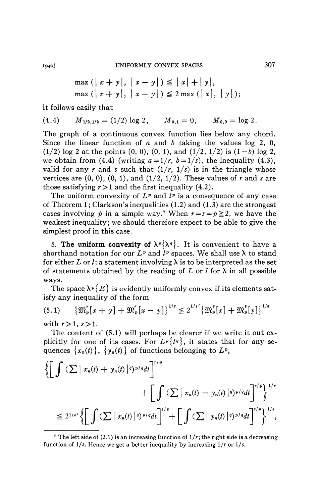$$
\max ( | x + y |, | x - y | ) \leq | x | + | y |, \max ( | x + y |, | x - y | ) \leq 2 \max ( | x |, | y |);
$$

it follows easily that

$$
(4.4) \tM1/2,1/2 = (1/2) log 2, \tM0,1 = 0, \tM0,0 = log 2.
$$

The graph of a continuous convex function lies below any chord. Since the linear function of *a* and *b* taking the values log 2, 0,  $(1/2)$  log 2 at the points  $(0, 0)$ ,  $(0, 1)$ , and  $(1/2, 1/2)$  is  $(1-b)$  log 2, we obtain from (4.4) (writing  $a = 1/r$ ,  $b = 1/s$ ), the inequality (4.3), valid for any *r* and *s* such that  $(1/r, 1/s)$  is in the triangle whose vertices are  $(0, 0)$ ,  $(0, 1)$ , and  $(1/2, 1/2)$ . These values of r and s are those satisfying  $r > 1$  and the first inequality (4.2).

The uniform convexity of  $L^p$  and  $l^p$  is a consequence of any case of Theorem 1; Clarkson's inequalities  $(1.2)$  and  $(1.3)$  are the strongest cases involving  $p$  in a simple way.<sup>7</sup> When  $r = s = p \ge 2$ , we have the weakest inequality; we should therefore expect to be able to give the simplest proof in this case.

5. The uniform convexity of  $\lambda^p {\lambda^q}$ . It is convenient to have a shorthand notation for our  $L^p$  and  $l^p$  spaces. We shall use  $\lambda$  to stand for either *L* or *l*; a statement involving  $\lambda$  is to be interpreted as the set of statements obtained by the reading of  $L$  or  $l$  for  $\lambda$  in all possible ways.

The space  $\lambda^{\,p}\{E\}$  is evidently uniformly convex if its elements satisfy any inequality of the form

$$
(5.1) \qquad {\mathfrak{M}}_{p}^r[x+y] + {\mathfrak{M}}_{p}^r[x-y] \}^{1/r} \leq 2^{1/s'} {\mathfrak{M}}_{p}^s[x] + {\mathfrak{M}}_{p}^s[y] \}^{1/s}
$$

with  $r>1, s>1$ .

The content of (5.1) will perhaps be clearer if we write it out explicitly for one of its cases. For  $L^p{l^q}$ , it states that for any sequences  $\{x_n(t)\}\$ ,  $\{y_n(t)\}\$  of functions belonging to  $L^p$ ,

$$
\left\{\left[\int (\sum |x_n(t) + y_n(t)|^q)^{p/q} dt\right]^{r/p} + \left[\int (\sum |x_n(t) - y_n(t)|^q)^{p/q} dt\right]^{r/p}\right\}^{1/r}
$$
  

$$
\leq 2^{1/s'} \left\{\left[\int (\sum |x_n(t)|^q)^{p/q} dt\right]^{s/p} + \left[\int (\sum |y_n(t)|^q)^{p/q} dt\right]^{s/p}\right\}^{1/s},
$$

<sup>&</sup>lt;sup>7</sup> The left side of  $(2.1)$  is an increasing function of  $1/r$ ; the right side is a decreasing function of l/s. Hence we get a better inequality by increasing 1/r or *l/s.*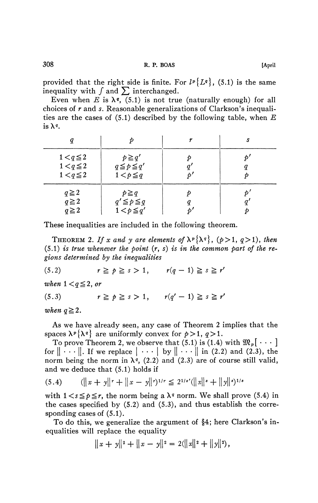provided that the right side is finite. For  $l^p\{L^q\}$ , (5.1) is the same inequality with  $\int$  and  $\sum$  interchanged.

Even when *E* is  $\lambda$ <sup>*q*</sup>, (5.1) is not true (naturally enough) for all choices of *r* and *s.* Reasonable generalizations of Clarkson's inequalities are the cases of (5.1) described by the following table, when *E*  is  $\lambda^q$ .

| $1 < q \leq 2$<br>$1 < q \leq 2$<br>$1 < q \leq 2$ | $p \geq q'$<br>$q \leq p \leq q'$<br>$1 < p \leq q$ |  |
|----------------------------------------------------|-----------------------------------------------------|--|
| $q \geq 2$<br>$q \geq 2$<br>$q \geq 2$             | $p \geq q$<br>$q' \leq p \leq q$<br>$1 < p \leq q'$ |  |

These inequalities are included in the following theorem.

THEOREM 2. If x and y are elements of  $\lambda^p {\lambda^q}$ , ( $p > 1$ ,  $q > 1$ ), then (5.1) *is true whenever the point* (r, *s) is in the common part of the regions determined by the inequalities* 

(5.2)  $r \geq p \geq s > 1, \quad r(q - 1) \geq s \geq r'$ 

*when*  $1 < q \leq 2$ *, or* 

(5.3)  $r \ge p \ge s > 1$ ,  $r(q' - 1) \ge s \ge r'$ 

*when*  $q \geq 2$ .

As we have already seen, any case of Theorem 2 implies that the spaces  $\lambda^p {\lambda^q}$  are uniformly convex for  $p > 1$ ,  $q > 1$ .

To prove Theorem 2, we observe that (5.1) is (1.4) with  $\mathfrak{M}_p[\cdot \cdot \cdot]$ for  $\|\cdots\|$ . If we replace  $\|\cdots\|$  by  $\|\cdots\|$  in (2.2) and (2.3), the norm being the norm in  $\lambda$ <sup>*q*</sup>, (2.2) and (2.3) are of course still valid, and we deduce that (5.1) holds if

$$
(5.4) \qquad (||x + y||^{r} + ||x - y||^{r})^{1/r} \le 2^{1/s'} (||x||^{s} + ||y||^{s})^{1/s}
$$

with  $1 \lt s \le p \le r$ , the norm being a  $\lambda^q$  norm. We shall prove (5.4) in the cases specified by  $(5.2)$  and  $(5.3)$ , and thus establish the corresponding cases of (5.1).

To do this, we generalize the argument of §4; here Clarkson's inequalities will replace the equality

$$
||x + y||2 + ||x - y||2 = 2(||x||2 + ||y||2),
$$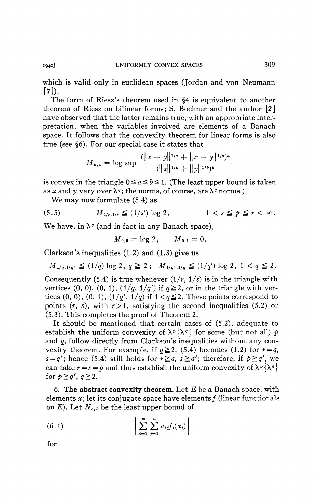which is valid only in euclidean spaces (Jordan and von Neumann  $[7]$ .

The form of Riesz's theorem used in §4 is equivalent to another theorem of Riesz on bilinear forms; S. Bochner and the author [2] have observed that the latter remains true, with an appropriate interpretation, when the variables involved are elements of a Banach space. It follows that the convexity theorem for linear forms is also true (see §6). For our special case it states that

$$
M_{a,b} = \log \sup \frac{(||x+y||^{1/a} + ||x-y||^{1/a})^a}{(||x||^{1/b} + ||y||^{1/b})^b}
$$

is convex in the triangle  $0 \le a \le b \le 1$ . (The least upper bound is taken as x and y vary over  $\lambda^q$ ; the norms, of course, are  $\lambda^q$  norms.)

We may now formulate (5.4) as

$$
(5.5) \t\t\t M_{1/r,1/s} \le (1/s') \log 2, \t\t 1 < s \le p \le r < \infty.
$$

We have, in  $\lambda^q$  (and in fact in any Banach space),

$$
M_{0,0} = \log 2, \qquad M_{0,1} = 0.
$$

Clarkson's inequalities (1.2) and (1.3) give us

$$
M_{1/q,1/q'} \le (1/q) \log 2, q \ge 2; M_{1/q',1/q} \le (1/q') \log 2, 1 < q \le 2.
$$

Consequently (5.4) is true whenever  $(1/r, 1/s)$  is in the triangle with vertices (0, 0), (0, 1),  $\left(1/q, 1/q'\right)$  if  $q \ge 2$ , or in the triangle with vertices  $(0, 0)$ ,  $(0, 1)$ ,  $(1/q', 1/q)$  if  $1 < q \le 2$ . These points correspond to points  $(r, s)$ , with  $r > 1$ , satisfying the second inequalities (5.2) or (5.3). This completes the proof of Theorem 2.

It should be mentioned that certain cases of (5.2), adequate to establish the uniform convexity of  $\lambda^p \{\lambda^q\}$  for some (but not all) p and *q,* follow directly from Clarkson's inequalities without any convexity theorem. For example, if  $q \ge 2$ , (5.4) becomes (1.2) for  $r = q$ ,  $s = q'$ ; hence (5.4) still holds for  $r \geq q$ ,  $s \geq q'$ ; therefore, if  $p \geq q'$ , we can take  $r = s = p$  and thus establish the uniform convexity of  $\lambda^p {\lambda^q}$ for  $p \geq q'$ ,  $q \geq 2$ .

6. The abstract convexity theorem. Let  $E$  be a Banach space, with elements  $x$ ; let its conjugate space have elements  $f$  (linear functionals on  $E$ ). Let  $N_{c,b}$  be the least upper bound of

(6.1) 
$$
\left| \sum_{i=1}^{m} \sum_{j=1}^{n} a_{ij} f_{j}(x_{i}) \right|
$$

for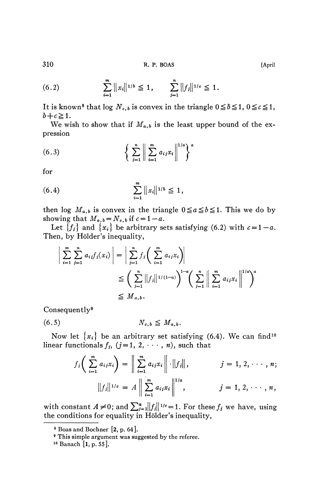310 **R. P. BOAS [April** 

(6.2) 
$$
\sum_{i=1}^{m} ||x_i||^{1/b} \leq 1, \qquad \sum_{j=1}^{n} ||f_j||^{1/c} \leq 1.
$$

It is known<sup>8</sup> that log  $N_{c,b}$  is convex in the triangle  $0 \leq b \leq 1$ ,  $0 \leq c \leq 1$ ,  $b+c\geq 1$ .

We wish to show that if  $M_{a,b}$  is the least upper bound of the expression

(6.3) 
$$
\left\{ \sum_{i=1}^{n} \left\| \sum_{i=1}^{m} a_{ij} x_i \right\|^{1/a} \right\}^{a}
$$

for

$$
(6.4) \qquad \qquad \sum_{i=1}^{m} ||x_i||^{1/b} \leqq 1,
$$

then log  $M_{a,b}$  is convex in the triangle  $0 \le a \le b \le 1$ . This we do by showing that  $M_{a,b} = N_{c,b}$  if  $c = 1 - a$ .

Let  ${f_i}$  and  ${x_i}$  be arbitrary sets satisfying (6.2) with  $c=1-a$ . Then, by Hölder's inequality,

$$
\left| \sum_{i=1}^{m} \sum_{j=1}^{n} a_{ij} f_j(x_i) \right| = \left| \sum_{j=1}^{n} f_j \left( \sum_{i=1}^{m} a_{ij} x_i \right) \right|
$$
  

$$
\leq \left( \sum_{j=1}^{n} ||f_j||^{1/(1-a)} \right)^{1-a} \left( \sum_{j=1}^{n} \left\| \sum_{i=1}^{m} a_{ij} x_i \right\|^{1/a} \right)^a
$$
  

$$
\leq M_{a,b}.
$$

Consequently<sup>9</sup>

$$
(6.5) \t\t N_{c,b} \leq M_{a,b}.
$$

Now let  $\{x_i\}$  be an arbitrary set satisfying (6.4). We can find<sup>10</sup> linear functionals  $f_i$ ,  $(j=1, 2, \dots, n)$ , such that

$$
f_i\bigg(\sum_{i=1}^m a_{ij}x_i\bigg) = \bigg\|\sum_{i=1}^m a_{ij}x_i\bigg\| \cdot \|f_j\|, \qquad j = 1, 2, \cdots, n;
$$

$$
\|f_j\|^{1/e} = A \bigg\|\sum_{i=1}^m a_{ij}x_i\bigg\|^{1/a}, \qquad j = 1, 2, \cdots, n,
$$

with constant  $A \neq 0$ ; and  $\sum_{j=1}^{n}||f_j||^{1/c}=1$ . For these  $f_j$  we have, using the conditions for equality in Holder's inequality,

<sup>8</sup> Boas and Bochner [2, p. 64].

<sup>9</sup> This simple argument was suggested by the referee.

 $10$  Banach [1, p. 55].